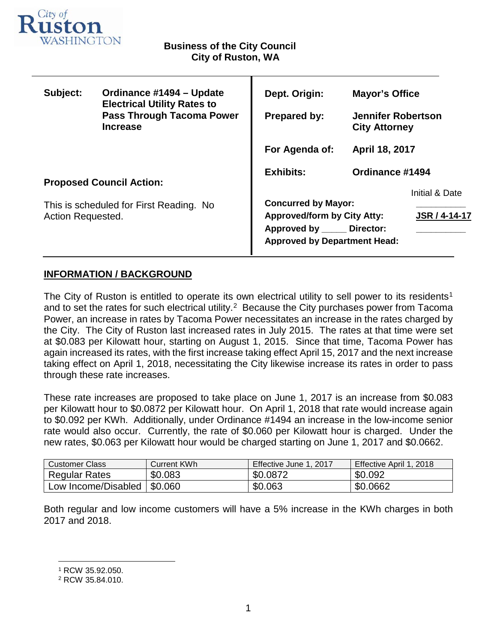

| Subject:                                                     | Ordinance #1494 - Update<br><b>Electrical Utility Rates to</b><br><b>Pass Through Tacoma Power</b><br><b>Increase</b> | Dept. Origin:                                                                                                                           | <b>Mayor's Office</b>                             |                      |
|--------------------------------------------------------------|-----------------------------------------------------------------------------------------------------------------------|-----------------------------------------------------------------------------------------------------------------------------------------|---------------------------------------------------|----------------------|
|                                                              |                                                                                                                       | <b>Prepared by:</b>                                                                                                                     | <b>Jennifer Robertson</b><br><b>City Attorney</b> |                      |
|                                                              |                                                                                                                       | For Agenda of:                                                                                                                          | April 18, 2017                                    |                      |
| <b>Proposed Council Action:</b>                              |                                                                                                                       | <b>Exhibits:</b>                                                                                                                        | Ordinance #1494                                   |                      |
|                                                              |                                                                                                                       |                                                                                                                                         |                                                   | Initial & Date       |
| This is scheduled for First Reading. No<br>Action Requested. |                                                                                                                       | <b>Concurred by Mayor:</b><br><b>Approved/form by City Atty:</b><br>Approved by ______ Director:<br><b>Approved by Department Head:</b> |                                                   | <b>JSR / 4-14-17</b> |
|                                                              |                                                                                                                       |                                                                                                                                         |                                                   |                      |

Т

# **INFORMATION / BACKGROUND**

The City of Ruston is entitled to operate its own electrical utility to sell power to its residents<sup>[1](#page-0-0)</sup> and to set the rates for such electrical utility.<sup>[2](#page-0-1)</sup> Because the City purchases power from Tacoma Power, an increase in rates by Tacoma Power necessitates an increase in the rates charged by the City. The City of Ruston last increased rates in July 2015. The rates at that time were set at \$0.083 per Kilowatt hour, starting on August 1, 2015. Since that time, Tacoma Power has again increased its rates, with the first increase taking effect April 15, 2017 and the next increase taking effect on April 1, 2018, necessitating the City likewise increase its rates in order to pass through these rate increases.

These rate increases are proposed to take place on June 1, 2017 is an increase from \$0.083 per Kilowatt hour to \$0.0872 per Kilowatt hour. On April 1, 2018 that rate would increase again to \$0.092 per KWh. Additionally, under Ordinance #1494 an increase in the low-income senior rate would also occur. Currently, the rate of \$0.060 per Kilowatt hour is charged. Under the new rates, \$0.063 per Kilowatt hour would be charged starting on June 1, 2017 and \$0.0662.

| <b>Customer Class</b> | Current KWh | Effective June 1, 2017 | Effective April 1, 2018 |
|-----------------------|-------------|------------------------|-------------------------|
| <b>Regular Rates</b>  | \$0.083     | \$0.0872               | \$0.092                 |
| Low Income/Disabled   | \$0.060     | \$0.063                | \$0.0662                |

Both regular and low income customers will have a 5% increase in the KWh charges in both 2017 and 2018.

<span id="page-0-0"></span> <sup>1</sup> RCW 35.92.050.

<span id="page-0-1"></span><sup>2</sup> RCW 35.84.010.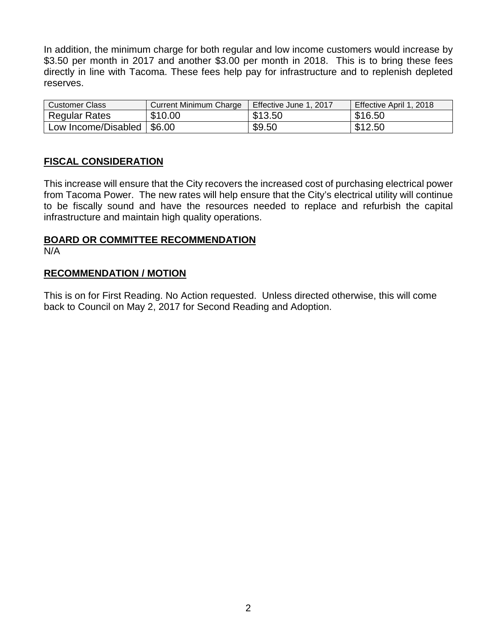In addition, the minimum charge for both regular and low income customers would increase by \$3.50 per month in 2017 and another \$3.00 per month in 2018. This is to bring these fees directly in line with Tacoma. These fees help pay for infrastructure and to replenish depleted reserves.

| <b>Customer Class</b> | <b>Current Minimum Charge</b> | Effective June 1, 2017 | Effective April 1, 2018 |
|-----------------------|-------------------------------|------------------------|-------------------------|
| <b>Regular Rates</b>  | \$10.00                       | \$13.50                | \$16.50                 |
| Low Income/Disabled   | 1\$6.00                       | \$9.50                 | \$12.50                 |

# **FISCAL CONSIDERATION**

This increase will ensure that the City recovers the increased cost of purchasing electrical power from Tacoma Power. The new rates will help ensure that the City's electrical utility will continue to be fiscally sound and have the resources needed to replace and refurbish the capital infrastructure and maintain high quality operations.

### **BOARD OR COMMITTEE RECOMMENDATION** N/A

## **RECOMMENDATION / MOTION**

This is on for First Reading. No Action requested. Unless directed otherwise, this will come back to Council on May 2, 2017 for Second Reading and Adoption.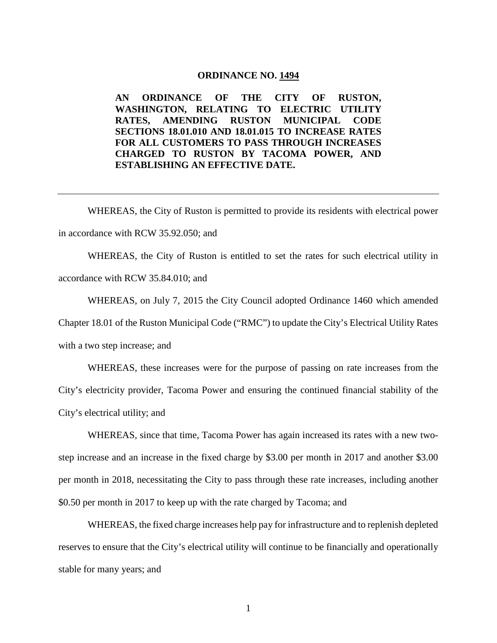#### **ORDINANCE NO. 1494**

**AN ORDINANCE OF THE CITY OF RUSTON, WASHINGTON, RELATING TO ELECTRIC UTILITY RATES, AMENDING RUSTON MUNICIPAL CODE SECTIONS 18.01.010 AND 18.01.015 TO INCREASE RATES FOR ALL CUSTOMERS TO PASS THROUGH INCREASES CHARGED TO RUSTON BY TACOMA POWER, AND ESTABLISHING AN EFFECTIVE DATE.**

WHEREAS, the City of Ruston is permitted to provide its residents with electrical power in accordance with RCW 35.92.050; and

WHEREAS, the City of Ruston is entitled to set the rates for such electrical utility in accordance with RCW 35.84.010; and

WHEREAS, on July 7, 2015 the City Council adopted Ordinance 1460 which amended Chapter 18.01 of the Ruston Municipal Code ("RMC") to update the City's Electrical Utility Rates with a two step increase; and

WHEREAS, these increases were for the purpose of passing on rate increases from the City's electricity provider, Tacoma Power and ensuring the continued financial stability of the City's electrical utility; and

WHEREAS, since that time, Tacoma Power has again increased its rates with a new twostep increase and an increase in the fixed charge by \$3.00 per month in 2017 and another \$3.00 per month in 2018, necessitating the City to pass through these rate increases, including another \$0.50 per month in 2017 to keep up with the rate charged by Tacoma; and

WHEREAS, the fixed charge increases help pay for infrastructure and to replenish depleted reserves to ensure that the City's electrical utility will continue to be financially and operationally stable for many years; and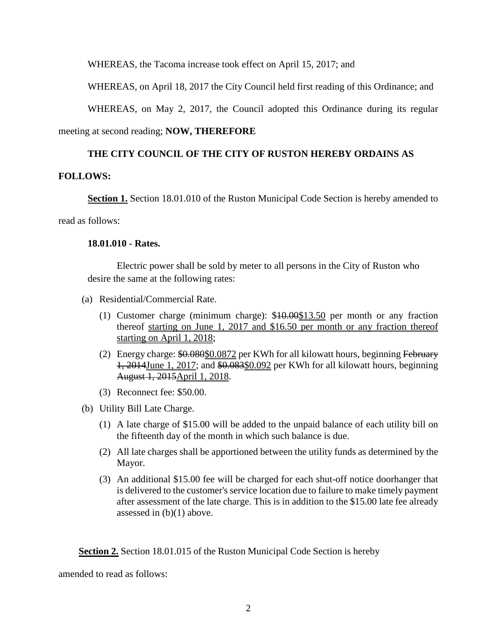WHEREAS, the Tacoma increase took effect on April 15, 2017; and

WHEREAS, on April 18, 2017 the City Council held first reading of this Ordinance; and

WHEREAS, on May 2, 2017, the Council adopted this Ordinance during its regular

meeting at second reading; **NOW, THEREFORE**

# **THE CITY COUNCIL OF THE CITY OF RUSTON HEREBY ORDAINS AS**

## **FOLLOWS:**

**Section 1.** Section 18.01.010 of the Ruston Municipal Code Section is hereby amended to

read as follows:

## **18.01.010 - Rates.**

Electric power shall be sold by meter to all persons in the City of Ruston who desire the same at the following rates:

- (a) Residential/Commercial Rate.
	- (1) Customer charge (minimum charge): \$10.00\$13.50 per month or any fraction thereof starting on June 1, 2017 and \$16.50 per month or any fraction thereof starting on April 1, 2018;
	- (2) Energy charge:  $$0.080$0.0872$  per KWh for all kilowatt hours, beginning February 1, 2014June 1, 2017; and \$0.083\$0.092 per KWh for all kilowatt hours, beginning August 1, 2015April 1, 2018.
	- (3) Reconnect fee: \$50.00.
- (b) Utility Bill Late Charge.
	- (1) A late charge of \$15.00 will be added to the unpaid balance of each utility bill on the fifteenth day of the month in which such balance is due.
	- (2) All late charges shall be apportioned between the utility funds as determined by the Mayor.
	- (3) An additional \$15.00 fee will be charged for each shut-off notice doorhanger that is delivered to the customer's service location due to failure to make timely payment after assessment of the late charge. This is in addition to the \$15.00 late fee already assessed in (b)(1) above.

**Section 2.** Section 18.01.015 of the Ruston Municipal Code Section is hereby

amended to read as follows: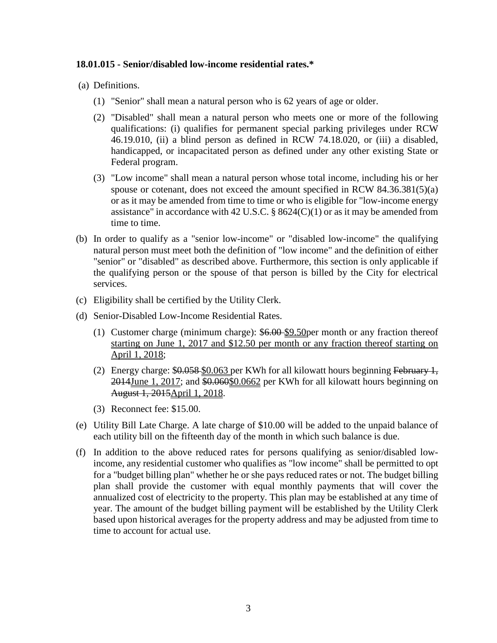## **18.01.015 - Senior/disabled low-income residential rates.\***

(a) Definitions.

- (1) "Senior" shall mean a natural person who is 62 years of age or older.
- (2) "Disabled" shall mean a natural person who meets one or more of the following qualifications: (i) qualifies for permanent special parking privileges under RCW 46.19.010, (ii) a blind person as defined in RCW 74.18.020, or (iii) a disabled, handicapped, or incapacitated person as defined under any other existing State or Federal program.
- (3) "Low income" shall mean a natural person whose total income, including his or her spouse or cotenant, does not exceed the amount specified in RCW 84.36.381(5)(a) or as it may be amended from time to time or who is eligible for "low-income energy assistance" in accordance with 42 U.S.C. § 8624(C)(1) or as it may be amended from time to time.
- (b) In order to qualify as a "senior low-income" or "disabled low-income" the qualifying natural person must meet both the definition of "low income" and the definition of either "senior" or "disabled" as described above. Furthermore, this section is only applicable if the qualifying person or the spouse of that person is billed by the City for electrical services.
- (c) Eligibility shall be certified by the Utility Clerk.
- (d) Senior-Disabled Low-Income Residential Rates.
	- (1) Customer charge (minimum charge): \$6.00 \$9.50per month or any fraction thereof starting on June 1, 2017 and \$12.50 per month or any fraction thereof starting on April 1, 2018;
	- (2) Energy charge: \$0.058-\$0.063 per KWh for all kilowatt hours beginning February 1, 2014June 1, 2017; and \$0.060\$0.0662 per KWh for all kilowatt hours beginning on August 1, 2015April 1, 2018.
	- (3) Reconnect fee: \$15.00.
- (e) Utility Bill Late Charge. A late charge of \$10.00 will be added to the unpaid balance of each utility bill on the fifteenth day of the month in which such balance is due.
- (f) In addition to the above reduced rates for persons qualifying as senior/disabled lowincome, any residential customer who qualifies as "low income" shall be permitted to opt for a "budget billing plan" whether he or she pays reduced rates or not. The budget billing plan shall provide the customer with equal monthly payments that will cover the annualized cost of electricity to the property. This plan may be established at any time of year. The amount of the budget billing payment will be established by the Utility Clerk based upon historical averages for the property address and may be adjusted from time to time to account for actual use.